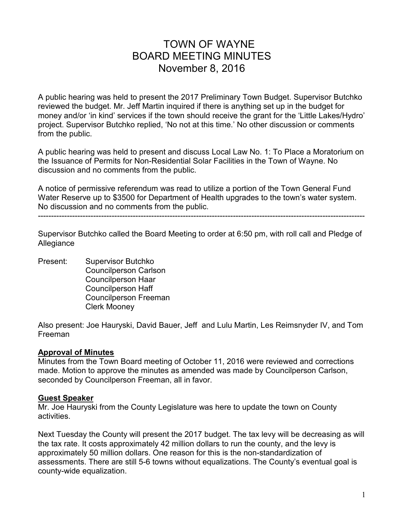# TOWN OF WAYNE BOARD MEETING MINUTES November 8, 2016

A public hearing was held to present the 2017 Preliminary Town Budget. Supervisor Butchko reviewed the budget. Mr. Jeff Martin inquired if there is anything set up in the budget for money and/or 'in kind' services if the town should receive the grant for the 'Little Lakes/Hydro' project. Supervisor Butchko replied, 'No not at this time.' No other discussion or comments from the public.

A public hearing was held to present and discuss Local Law No. 1: To Place a Moratorium on the Issuance of Permits for Non-Residential Solar Facilities in the Town of Wayne. No discussion and no comments from the public.

A notice of permissive referendum was read to utilize a portion of the Town General Fund Water Reserve up to \$3500 for Department of Health upgrades to the town's water system. No discussion and no comments from the public.

----------------------------------------------------------------------------------------------------------------------------

Supervisor Butchko called the Board Meeting to order at 6:50 pm, with roll call and Pledge of Allegiance

Present: Supervisor Butchko Councilperson Carlson Councilperson Haar Councilperson Haff Councilperson Freeman Clerk Mooney

Also present: Joe Hauryski, David Bauer, Jeff and Lulu Martin, Les Reimsnyder IV, and Tom Freeman

#### **Approval of Minutes**

Minutes from the Town Board meeting of October 11, 2016 were reviewed and corrections made. Motion to approve the minutes as amended was made by Councilperson Carlson, seconded by Councilperson Freeman, all in favor.

#### **Guest Speaker**

Mr. Joe Hauryski from the County Legislature was here to update the town on County activities.

Next Tuesday the County will present the 2017 budget. The tax levy will be decreasing as will the tax rate. It costs approximately 42 million dollars to run the county, and the levy is approximately 50 million dollars. One reason for this is the non-standardization of assessments. There are still 5-6 towns without equalizations. The County's eventual goal is county-wide equalization.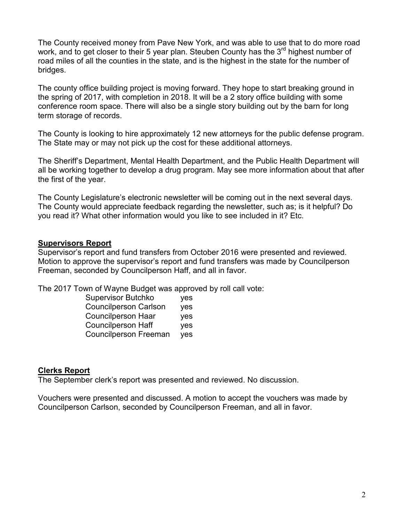The County received money from Pave New York, and was able to use that to do more road work, and to get closer to their 5 year plan. Steuben County has the  $3^{rd}$  highest number of road miles of all the counties in the state, and is the highest in the state for the number of bridges.

The county office building project is moving forward. They hope to start breaking ground in the spring of 2017, with completion in 2018. It will be a 2 story office building with some conference room space. There will also be a single story building out by the barn for long term storage of records.

The County is looking to hire approximately 12 new attorneys for the public defense program. The State may or may not pick up the cost for these additional attorneys.

The Sheriff's Department, Mental Health Department, and the Public Health Department will all be working together to develop a drug program. May see more information about that after the first of the year.

The County Legislature's electronic newsletter will be coming out in the next several days. The County would appreciate feedback regarding the newsletter, such as; is it helpful? Do you read it? What other information would you like to see included in it? Etc.

#### **Supervisors Report**

Supervisor's report and fund transfers from October 2016 were presented and reviewed. Motion to approve the supervisor's report and fund transfers was made by Councilperson Freeman, seconded by Councilperson Haff, and all in favor.

The 2017 Town of Wayne Budget was approved by roll call vote:

| <b>Supervisor Butchko</b>    | yes        |
|------------------------------|------------|
| <b>Councilperson Carlson</b> | yes        |
| <b>Councilperson Haar</b>    | <b>ves</b> |
| <b>Councilperson Haff</b>    | <b>ves</b> |
| <b>Councilperson Freeman</b> | yes        |

#### **Clerks Report**

The September clerk's report was presented and reviewed. No discussion.

Vouchers were presented and discussed. A motion to accept the vouchers was made by Councilperson Carlson, seconded by Councilperson Freeman, and all in favor.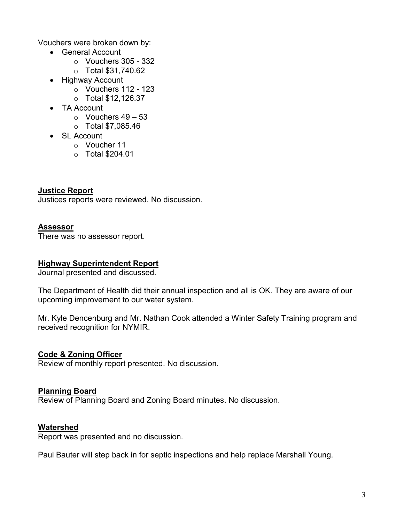Vouchers were broken down by:

- General Account
	- $\circ$  Vouchers 305 332
	- o Total \$31,740.62
- Highway Account
	- $\circ$  Vouchers 112 123
	- o Total \$12,126.37
- TA Account
	- $\circ$  Vouchers 49 53
	- o Total \$7,085.46
- SL Account
	- o Voucher 11
	- o Total \$204.01

**Justice Report** Justices reports were reviewed. No discussion.

#### **Assessor**

There was no assessor report.

## **Highway Superintendent Report**

Journal presented and discussed.

The Department of Health did their annual inspection and all is OK. They are aware of our upcoming improvement to our water system.

Mr. Kyle Dencenburg and Mr. Nathan Cook attended a Winter Safety Training program and received recognition for NYMIR.

# **Code & Zoning Officer**

Review of monthly report presented. No discussion.

#### **Planning Board**

Review of Planning Board and Zoning Board minutes. No discussion.

#### **Watershed**

Report was presented and no discussion.

Paul Bauter will step back in for septic inspections and help replace Marshall Young.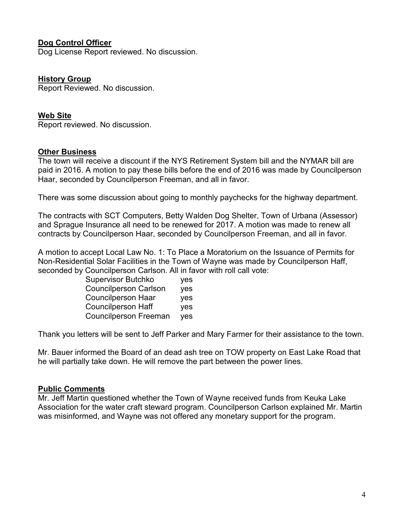## **Dog Control Officer**

Dog License Report reviewed. No discussion.

#### **History Group**

Report Reviewed. No discussion.

#### **Web Site**

Report reviewed. No discussion.

#### **Other Business**

The town will receive a discount if the NYS Retirement System bill and the NYMAR bill are paid in 2016. A motion to pay these bills before the end of 2016 was made by Councilperson Haar, seconded by Councilperson Freeman, and all in favor.

There was some discussion about going to monthly paychecks for the highway department.

The contracts with SCT Computers, Betty Walden Dog Shelter, Town of Urbana (Assessor) and Sprague Insurance all need to be renewed for 2017. A motion was made to renew all contracts by Councilperson Haar, seconded by Councilperson Freeman, and all in favor.

A motion to accept Local Law No. 1: To Place a Moratorium on the Issuance of Permits for Non-Residential Solar Facilities in the Town of Wayne was made by Councilperson Haff, seconded by Councilperson Carlson. All in favor with roll call vote:

| <b>Supervisor Butchko</b>    | yes        |
|------------------------------|------------|
| <b>Councilperson Carlson</b> | yes        |
| <b>Councilperson Haar</b>    | <b>ves</b> |
| <b>Councilperson Haff</b>    | <b>ves</b> |
| <b>Councilperson Freeman</b> | yes        |

Thank you letters will be sent to Jeff Parker and Mary Farmer for their assistance to the town.

Mr. Bauer informed the Board of an dead ash tree on TOW property on East Lake Road that he will partially take down. He will remove the part between the power lines.

#### **Public Comments**

Mr. Jeff Martin questioned whether the Town of Wayne received funds from Keuka Lake Association for the water craft steward program. Councilperson Carlson explained Mr. Martin was misinformed, and Wayne was not offered any monetary support for the program.